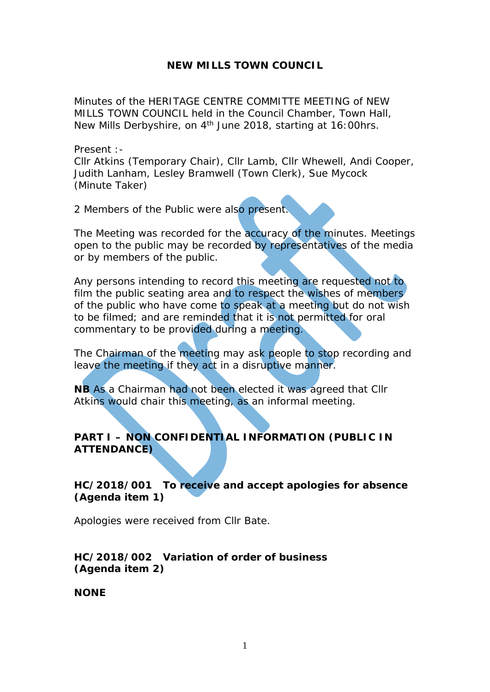## **NEW MILLS TOWN COUNCIL**

Minutes of the HERITAGE CENTRE COMMITTE MEETING of NEW MILLS TOWN COUNCIL held in the Council Chamber, Town Hall, New Mills Derbyshire, on 4<sup>th</sup> June 2018, starting at 16:00hrs.

Present :-

Cllr Atkins (Temporary Chair), Cllr Lamb, Cllr Whewell, Andi Cooper, Judith Lanham, Lesley Bramwell (Town Clerk), Sue Mycock (Minute Taker)

2 Members of the Public were also present.

The Meeting was recorded for the accuracy of the minutes. Meetings open to the public may be recorded by representatives of the media or by members of the public.

Any persons intending to record this meeting are requested not to film the public seating area and to respect the wishes of members of the public who have come to speak at a meeting but do not wish to be filmed; and are reminded that it is not permitted for oral commentary to be provided during a meeting.

The Chairman of the meeting may ask people to stop recording and leave the meeting if they act in a disruptive manner.

**NB** As a Chairman had not been elected it was agreed that Cllr Atkins would chair this meeting, as an informal meeting.

# **PART I – NON CONFIDENTIAL INFORMATION (PUBLIC IN ATTENDANCE)**

**HC/2018/001 To receive and accept apologies for absence (Agenda item 1)**

Apologies were received from Cllr Bate.

## **HC/2018/002 Variation of order of business (Agenda item 2)**

**NONE**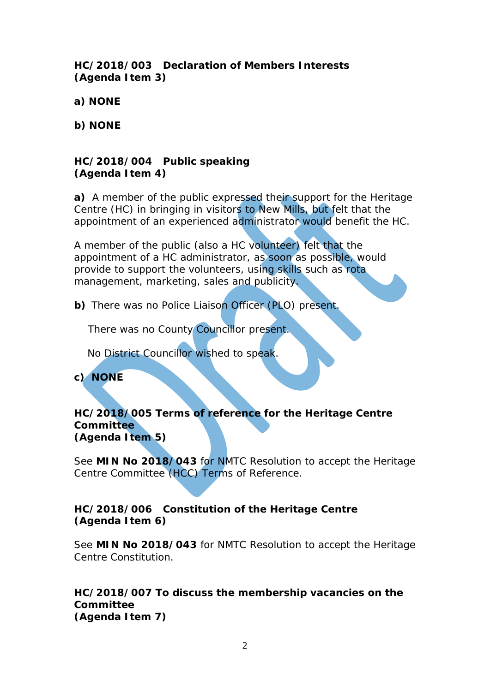**HC/2018/003 Declaration of Members Interests (Agenda Item 3)**

**a) NONE**

**b) NONE**

## **HC/2018/004 Public speaking (Agenda Item 4)**

**a)** A member of the public expressed their support for the Heritage Centre (HC) in bringing in visitors to New Mills, but felt that the appointment of an experienced administrator would benefit the HC.

A member of the public (also a HC volunteer) felt that the appointment of a HC administrator, as soon as possible, would provide to support the volunteers, using skills such as rota management, marketing, sales and publicity.

**b)** There was no Police Liaison Officer (PLO) present.

There was no County Councillor present.

No District Councillor wished to speak.

**c) NONE**

### **HC/2018/005 Terms of reference for the Heritage Centre Committee (Agenda Item 5)**

See **MIN No 2018/043** for NMTC Resolution to accept the Heritage Centre Committee (HCC) Terms of Reference.

## **HC/2018/006 Constitution of the Heritage Centre (Agenda Item 6)**

See **MIN No 2018/043** for NMTC Resolution to accept the Heritage Centre Constitution.

### **HC/2018/007 To discuss the membership vacancies on the Committee (Agenda Item 7)**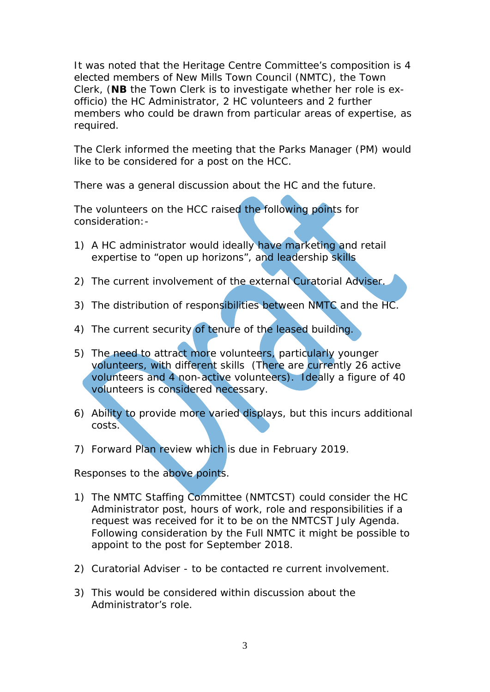It was noted that the Heritage Centre Committee's composition is 4 elected members of New Mills Town Council (NMTC), the Town Clerk, (**NB** the Town Clerk is to investigate whether her role is exofficio) the HC Administrator, 2 HC volunteers and 2 further members who could be drawn from particular areas of expertise, as required.

The Clerk informed the meeting that the Parks Manager (PM) would like to be considered for a post on the HCC.

There was a general discussion about the HC and the future.

The volunteers on the HCC raised the following points for consideration:-

- 1) A HC administrator would ideally have marketing and retail expertise to "open up horizons", and leadership skills
- 2) The current involvement of the external Curatorial Adviser.
- 3) The distribution of responsibilities between NMTC and the HC.
- 4) The current security of tenure of the leased building.
- 5) The need to attract more volunteers, particularly younger volunteers, with different skills (There are currently 26 active volunteers and 4 non-active volunteers). Ideally a figure of 40 volunteers is considered necessary.
- 6) Ability to provide more varied displays, but this incurs additional costs.
- 7) Forward Plan review which is due in February 2019.

Responses to the above points.

- 1) The NMTC Staffing Committee (NMTCST) could consider the HC Administrator post, hours of work, role and responsibilities if a request was received for it to be on the NMTCST July Agenda. Following consideration by the Full NMTC it might be possible to appoint to the post for September 2018.
- 2) Curatorial Adviser to be contacted re current involvement.
- 3) This would be considered within discussion about the Administrator's role.